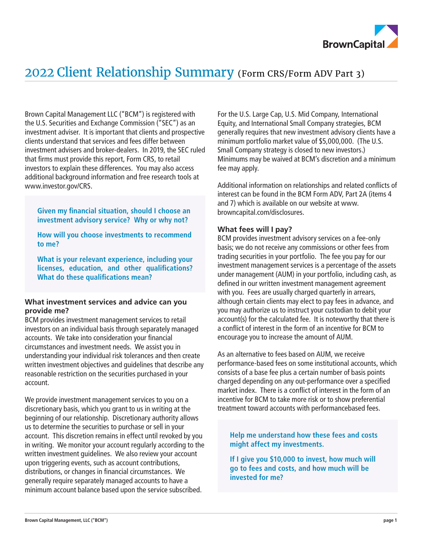

# 2022 Client Relationship Summary (Form CRS/Form ADV Part 3)

Brown Capital Management LLC ("BCM") is registered with the U.S. Securities and Exchange Commission ("SEC") as an investment adviser. It is important that clients and prospective clients understand that services and fees differ between investment advisers and broker-dealers. In 2019, the SEC ruled that firms must provide this report, Form CRS, to retail investors to explain these differences. You may also access additional background information and free research tools at www.investor.gov/CRS.

**Given my financial situation, should I choose an investment advisory service? Why or why not?**

**How will you choose investments to recommend to me?**

**What is your relevant experience, including your licenses, education, and other qualifications? What do these qualifications mean?**

### **What investment services and advice can you provide me?**

BCM provides investment management services to retail investors on an individual basis through separately managed accounts. We take into consideration your financial circumstances and investment needs. We assist you in understanding your individual risk tolerances and then create written investment objectives and guidelines that describe any reasonable restriction on the securities purchased in your account.

We provide investment management services to you on a discretionary basis, which you grant to us in writing at the beginning of our relationship. Discretionary authority allows us to determine the securities to purchase or sell in your account. This discretion remains in effect until revoked by you in writing. We monitor your account regularly according to the written investment guidelines. We also review your account upon triggering events, such as account contributions, distributions, or changes in financial circumstances. We generally require separately managed accounts to have a minimum account balance based upon the service subscribed.

For the U.S. Large Cap, U.S. Mid Company, International Equity, and International Small Company strategies, BCM generally requires that new investment advisory clients have a minimum portfolio market value of \$5,000,000. (The U.S. Small Company strategy is closed to new investors.) Minimums may be waived at BCM's discretion and a minimum fee may apply.

Additional information on relationships and related conflicts of interest can be found in the BCM Form ADV, Part 2A (items 4 and 7) which is available on our website at www. browncapital.com/disclosures.

## **What fees will I pay?**

BCM provides investment advisory services on a fee-only basis; we do not receive any commissions or other fees from trading securities in your portfolio. The fee you pay for our investment management services is a percentage of the assets under management (AUM) in your portfolio, including cash, as defined in our written investment management agreement with you. Fees are usually charged quarterly in arrears, although certain clients may elect to pay fees in advance, and you may authorize us to instruct your custodian to debit your account(s) for the calculated fee. It is noteworthy that there is a conflict of interest in the form of an incentive for BCM to encourage you to increase the amount of AUM.

As an alternative to fees based on AUM, we receive performance-based fees on some institutional accounts, which consists of a base fee plus a certain number of basis points charged depending on any out-performance over a specified market index. There is a conflict of interest in the form of an incentive for BCM to take more risk or to show preferential treatment toward accounts with performancebased fees.

# **Help me understand how these fees and costs might affect my investments.**

**If I give you \$10,000 to invest, how much will go to fees and costs, and how much will be invested for me?**